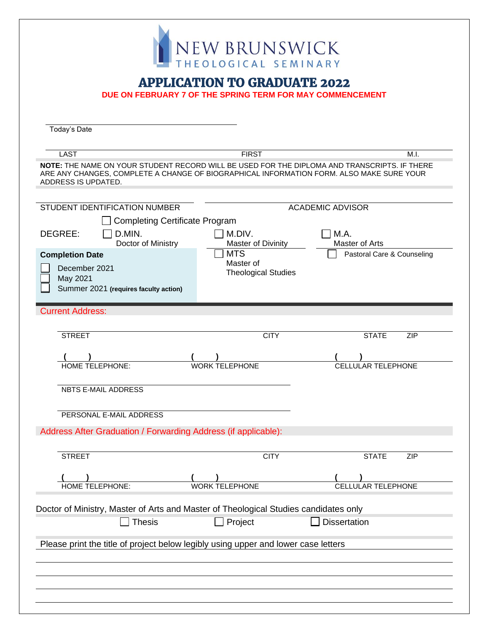| HEOLOGICAL SEMINARY<br><b>APPLICATION TO GRADUATE 2022</b><br>DUE ON FEBRUARY 7 OF THE SPRING TERM FOR MAY COMMENCEMENT<br>Today's Date<br><b>LAST</b><br><b>FIRST</b><br>M.I.<br>NOTE: THE NAME ON YOUR STUDENT RECORD WILL BE USED FOR THE DIPLOMA AND TRANSCRIPTS. IF THERE<br>ARE ANY CHANGES, COMPLETE A CHANGE OF BIOGRAPHICAL INFORMATION FORM. ALSO MAKE SURE YOUR<br>ADDRESS IS UPDATED.<br>STUDENT IDENTIFICATION NUMBER<br><b>ACADEMIC ADVISOR</b><br>□ Completing Certificate Program<br>DEGREE:<br>$\Box$ D.MIN.<br>M.DIV.<br>$\Box$ M.A.<br>Master of Arts<br>Doctor of Ministry<br><b>Master of Divinity</b><br><b>MTS</b><br><b>Completion Date</b><br>Pastoral Care & Counseling<br>Master of<br>December 2021<br><b>Theological Studies</b><br>May 2021<br>Summer 2021 (requires faculty action) | <b>Current Address:</b> |  | NEW BRUNSWICK |  |
|--------------------------------------------------------------------------------------------------------------------------------------------------------------------------------------------------------------------------------------------------------------------------------------------------------------------------------------------------------------------------------------------------------------------------------------------------------------------------------------------------------------------------------------------------------------------------------------------------------------------------------------------------------------------------------------------------------------------------------------------------------------------------------------------------------------------|-------------------------|--|---------------|--|
|                                                                                                                                                                                                                                                                                                                                                                                                                                                                                                                                                                                                                                                                                                                                                                                                                    |                         |  |               |  |
|                                                                                                                                                                                                                                                                                                                                                                                                                                                                                                                                                                                                                                                                                                                                                                                                                    |                         |  |               |  |
|                                                                                                                                                                                                                                                                                                                                                                                                                                                                                                                                                                                                                                                                                                                                                                                                                    |                         |  |               |  |
|                                                                                                                                                                                                                                                                                                                                                                                                                                                                                                                                                                                                                                                                                                                                                                                                                    |                         |  |               |  |
|                                                                                                                                                                                                                                                                                                                                                                                                                                                                                                                                                                                                                                                                                                                                                                                                                    |                         |  |               |  |
|                                                                                                                                                                                                                                                                                                                                                                                                                                                                                                                                                                                                                                                                                                                                                                                                                    |                         |  |               |  |
|                                                                                                                                                                                                                                                                                                                                                                                                                                                                                                                                                                                                                                                                                                                                                                                                                    |                         |  |               |  |
|                                                                                                                                                                                                                                                                                                                                                                                                                                                                                                                                                                                                                                                                                                                                                                                                                    |                         |  |               |  |
|                                                                                                                                                                                                                                                                                                                                                                                                                                                                                                                                                                                                                                                                                                                                                                                                                    |                         |  |               |  |

| <b>STREET</b>                                                                        | <b>CITY</b>           | ZIP<br><b>STATE</b>       |  |  |  |  |  |
|--------------------------------------------------------------------------------------|-----------------------|---------------------------|--|--|--|--|--|
|                                                                                      |                       |                           |  |  |  |  |  |
| <b>HOME TELEPHONE:</b>                                                               | <b>WORK TELEPHONE</b> | <b>CELLULAR TELEPHONE</b> |  |  |  |  |  |
| <b>NBTS E-MAIL ADDRESS</b>                                                           |                       |                           |  |  |  |  |  |
| PERSONAL E-MAIL ADDRESS                                                              |                       |                           |  |  |  |  |  |
| Address After Graduation / Forwarding Address (if applicable):                       |                       |                           |  |  |  |  |  |
|                                                                                      |                       |                           |  |  |  |  |  |
| <b>STREET</b>                                                                        | <b>CITY</b>           | <b>STATE</b><br>ZIP       |  |  |  |  |  |
| <b>HOME TELEPHONE:</b>                                                               | <b>WORK TELEPHONE</b> | <b>CELLULAR TELEPHONE</b> |  |  |  |  |  |
| Doctor of Ministry, Master of Arts and Master of Theological Studies candidates only |                       |                           |  |  |  |  |  |
| <b>Thesis</b>                                                                        | Project               | <b>Dissertation</b>       |  |  |  |  |  |
| Please print the title of project below legibly using upper and lower case letters   |                       |                           |  |  |  |  |  |
|                                                                                      |                       |                           |  |  |  |  |  |
|                                                                                      |                       |                           |  |  |  |  |  |
|                                                                                      |                       |                           |  |  |  |  |  |